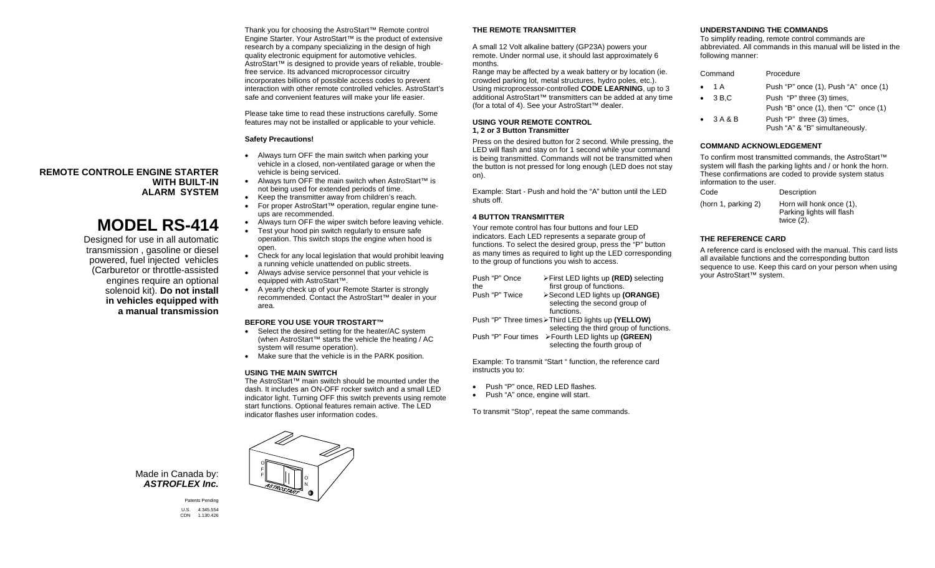Thank you for choosing the AstroStart™ Remote control Engine Starter. Your AstroStart™ is the product of extensive research by a company specializing in the design of high quality electronic equipment for automotive vehicles. AstroStart™ is designed to provide years of reliable, troublefree service. Its advanced microprocessor circuitry incorporates billions of possible access codes to prevent interaction with other remote controlled vehicles. AstroStart's safe and convenient features will make your life easier.

Please take time to read these instructions carefully. Some features may not be installed or applicable to your vehicle.

## **Safety Precautions!**

- Always turn OFF the main switch when parking your vehicle in a closed, non-ventilated garage or when the vehicle is being serviced.
- Always turn OFF the main switch when AstroStart™ is not being used for extended periods of time.
- Keep the transmitter away from children's reach.
- For proper AstroStart™ operation, regular engine tuneups are recommended.
- Always turn OFF the wiper switch before leaving vehicle.
- Test your hood pin switch regularly to ensure safe operation. This switch stops the engine when hood is open.
- Check for any local legislation that would prohibit leaving a running vehicle unattended on public streets.
- Always advise service personnel that your vehicle is equipped with AstroStart™.
- A yearly check up of your Remote Starter is strongly recommended. Contact the AstroStart™ dealer in your area.

## **BEFORE YOU USE YOUR TROSTART™**

- Select the desired setting for the heater/AC system (when AstroStart™ starts the vehicle the heating / AC system will resume operation).
- Make sure that the vehicle is in the PARK position.

#### **USING THE MAIN SWITCH**

 The AstroStart™ main switch should be mounted under the dash. It includes an ON-OFF rocker switch and a small LED indicator light. Turning OFF this switch prevents using remote start functions. Optional features remain active. The LED indicator flashes user information codes.

## **THE REMOTE TRANSMITTER**

A small 12 Volt alkaline battery (GP23A) powers your remote. Under normal use, it should last approximately 6 months.

 Range may be affected by a weak battery or by location (ie. crowded parking lot, metal structures, hydro poles, etc.). Using microprocessor-controlled **CODE LEARNING**, up to 3 additional AstroStart™ transmitters can be added at any time (for a total of 4). See your AstroStart™ dealer.

### **USING YOUR REMOTE CONTROL 1, 2 or 3 Button Transmitter**

Press on the desired button for 2 second. While pressing, the LED will flash and stay on for 1 second while your command is being transmitted. Commands will not be transmitted when the button is not pressed for long enough (LED does not stay on).

Example: Start - Push and hold the "A" button until the LED shuts off.

## **4 BUTTON TRANSMITTER**

Your remote control has four buttons and four LED indicators. Each LED represents a separate group of functions. To select the desired group, press the "P" button as many times as required to light up the LED corresponding to the group of functions you wish to access.

| Push "P" Once<br>the                                | >First LED lights up (RED) selecting<br>first group of functions. |  |
|-----------------------------------------------------|-------------------------------------------------------------------|--|
| Push "P" Twice                                      | >Second LED lights up (ORANGE)                                    |  |
|                                                     | selecting the second group of                                     |  |
|                                                     | functions.                                                        |  |
| Push "P" Three times > Third LED lights up (YELLOW) |                                                                   |  |
|                                                     | selecting the third group of functions.                           |  |
|                                                     | Push "P" Four times > Fourth LED lights up (GREEN)                |  |
|                                                     | selecting the fourth group of                                     |  |

Example: To transmit "Start " function, the reference card instructs you to:

- Push "P" once, RED LED flashes.
- Push "A" once, engine will start.

To transmit "Stop", repeat the same commands.

## **UNDERSTANDING THE COMMANDS**

To simplify reading, remote control commands are abbreviated. All commands in this manual will be listed in the following manner:

| Command         | Procedure                                                              |
|-----------------|------------------------------------------------------------------------|
| • 1A            | Push "P" once (1), Push "A" once (1)                                   |
| $\bullet$ 3 B.C | Push "P" three (3) times,<br>Push "B" once $(1)$ , then "C" once $(1)$ |
| $\bullet$ 3A&B  | Push "P" three (3) times,<br>Push "A" & "B" simultaneously.            |

#### **COMMAND ACKNOWLEDGEMENT**

To confirm most transmitted commands, the AstroStart™ system will flash the parking lights and / or honk the horn. These confirmations are coded to provide system status information to the user.

| Code                | Description                                                            |
|---------------------|------------------------------------------------------------------------|
| (horn 1, parking 2) | Horn will honk once (1),<br>Parking lights will flash<br>twice $(2)$ . |

# **THE REFERENCE CARD**

A reference card is enclosed with the manual. This card lists all available functions and the corresponding button sequence to use. Keep this card on your person when using your AstroStart™ system.

**REMOTE CONTROLE ENGINE STARTER WITH BUILT-IN ALARM SYSTEM** 

# **MODEL RS-414**

Designed for use in all automatic transmission , gasoline or diesel powered, fuel injected vehicles (Carburetor or throttle-assisted engines require an optional solenoid kit). **Do not install in vehicles equipped with a manual transmission** 

> Made in Canada by: *ASTROFLEX Inc.*

> > Patents Pending U.S. 4.345.554 1.130.426

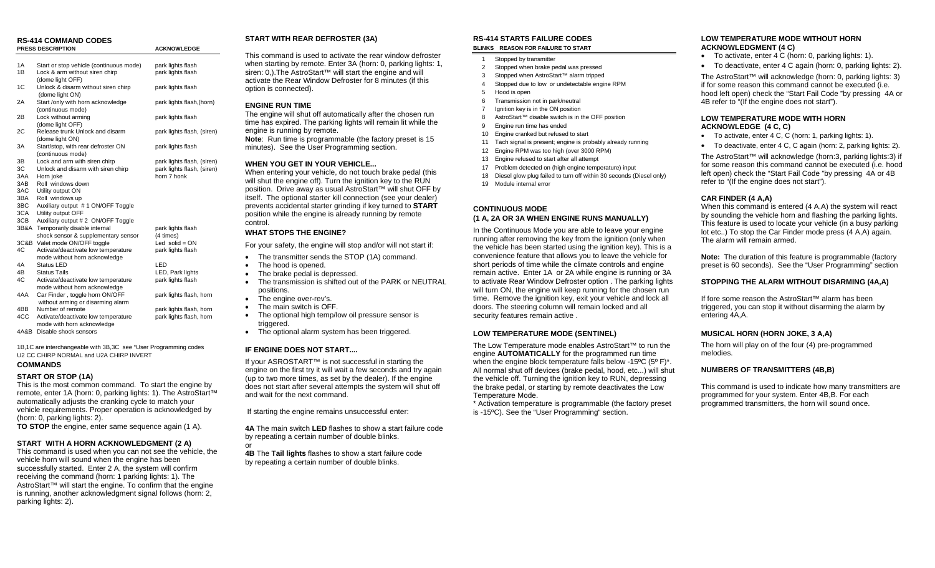# **RS-414 COMMAND CODES**

|            | <b>PRESS DESCRIPTION</b>                | <b>ACKNOWLEDGE</b>         |
|------------|-----------------------------------------|----------------------------|
|            |                                         |                            |
| 1A         | Start or stop vehicle (continuous mode) | park lights flash          |
| 1B         | Lock & arm without siren chirp          | park lights flash          |
|            | (dome light OFF)                        |                            |
| 1C         | Unlock & disarm without siren chirp     | park lights flash          |
|            | (dome light ON)                         |                            |
| 2A         | Start /only with horn acknowledge       | park lights flash, (horn)  |
|            | (continuous mode)                       |                            |
| 2B         | Lock without arming                     | park lights flash          |
|            | (dome light OFF)                        |                            |
| 2С         | Release trunk Unlock and disarm         | park lights flash, (siren) |
|            | (dome light ON)                         |                            |
| ЗA         | Start/stop, with rear defroster ON      | park lights flash          |
|            | (continuous mode)                       |                            |
| ЗB         | Lock and arm with siren chirp           | park lights flash, (siren) |
| ЗC         | Unlock and disarm with siren chirp      | park lights flash, (siren) |
| 3AA        | Horn joke<br>Roll windows down          | horn 7 honk                |
| 3AB<br>3AC |                                         |                            |
| 3BA        | Utility output ON<br>Roll windows up    |                            |
| 3BC        | Auxiliary output #1 ON/OFF Toggle       |                            |
| 3CA        | Utility output OFF                      |                            |
| 3CB        | Auxiliary output # 2 ON/OFF Toggle      |                            |
| 3B&A       | Temporarily disable internal            | park lights flash          |
|            | shock sensor & supplementary sensor     | (4 times)                  |
| 3C&B       | Valet mode ON/OFF toggle                | Led $solid = ON$           |
| 4C         | Activate/deactivate low temperature     | park lights flash          |
|            | mode without horn acknowledge           |                            |
| 4A         | Status LED                              | LED                        |
| 4B         | <b>Status Tails</b>                     | LED, Park lights           |
| 4C         | Activate/deactivate low temperature     | park lights flash          |
|            | mode without horn acknowledge           |                            |
| 4AA        | Car Finder, toggle horn ON/OFF          | park lights flash, horn    |
|            | without arming or disarming alarm       |                            |
| 4BB        | Number of remote                        | park lights flash, horn    |
| 4CC        | Activate/deactivate low temperature     | park lights flash, horn    |
|            | mode with horn acknowledge              |                            |
| 4A&B       | Disable shock sensors                   |                            |
|            |                                         |                            |

1B,1C are interchangeable with 3B,3C see "User Programming codes U2 CC CHIRP NORMAL and U2A CHIRP INVERT

# **COMMANDS**

#### **START OR STOP (1A)**

This is the most common command. To start the engine by remote, enter 1A (horn: 0, parking lights: 1). The AstroStart™ automatically adjusts the cranking cycle to match your vehicle requirements. Proper operation is acknowledged by (horn: 0, parking lights: 2).

**TO STOP** the engine, enter same sequence again (1 A).

## **START WITH A HORN ACKNOWLEDGMENT (2 A)**

This command is used when you can not see the vehicle, the vehicle horn will sound when the engine has been successfully started. Enter 2 A, the system will confirm receiving the command (horn: 1 parking lights: 1). The AstroStart™ will start the engine. To confirm that the engine is running, another acknowledgment signal follows (horn: 2, parking lights: 2).

## **START WITH REAR DEFROSTER (3A)**

This command is used to activate the rear window defroster when starting by remote. Enter 3A (horn: 0, parking lights: 1, siren: 0,). The AstroStart™ will start the engine and will activate the Rear Window Defroster for 8 minutes (if this option is connected).

## **ENGINE RUN TIME**

The engine will shut off automatically after the chosen run time has expired. The parking lights will remain lit while the engine is running by remote. **Note**: Run time is programmable (the factory preset is 15

minutes). See the User Programming section.

#### **WHEN YOU GET IN YOUR VEHICLE...**

When entering your vehicle, do not touch brake pedal (this will shut the engine off). Turn the ignition key to the RUN position. Drive away as usual AstroStart™ will shut OFF by itself. The optional starter kill connection (see your dealer) prevents accidental starter grinding if key turned to **START** position while the engine is already running by remote control.

## **WHAT STOPS THE ENGINE?**

For your safety, the engine will stop and/or will not start if:

- The transmitter sends the STOP (1A) command.
- The hood is opened.
- The brake pedal is depressed.
- The transmission is shifted out of the PARK or NEUTRAL positions.
- The engine over-rev's.
- The main switch is OFF.
- The optional high temp/low oil pressure sensor is triggered.
- The optional alarm system has been triggered.

## **IF ENGINE DOES NOT START....**

If your ASROSTART™ is not successful in starting the engine on the first try it will wait a few seconds and try again (up to two more times, as set by the dealer). If the engine does not start after several attempts the system will shut off and wait for the next command.

If starting the engine remains unsuccessful enter:

**4A** The main switch **LED** flashes to show a start failure code by repeating a certain number of double blinks.

**4B** The **Tail lights** flashes to show a start failure code by repeating a certain number of double blinks.

#### **RS-414 STARTS FAILURE CODESBLINKS REASON FOR FAILURE TO START**

#### 1 Stopped by transmitter

- 2 Stopped when brake pedal was pressed
- 3 Stopped when AstroStart™ alarm tripped
- 4 Stopped due to low or undetectable engine RPM
- 5 Hood is open
	- 6 Transmission not in park/neutral
	- 7 Ignition key is in the ON position
	- 8 AstroStart™ disable switch is in the OFF position
	- 9 Engine run time has ended
	- 10 Engine cranked but refused to start 11 Tach signal is present; engine is probably already running
	- 12 Engine RPM was too high (over 3000 RPM)
	- 13 Engine refused to start after all attempt
	- 17 Problem detected on (high engine temperature) input
	- 18 Diesel glow plug failed to turn off within 30 seconds (Diesel only)
	- 19 Module internal error

# **CONTINUOUS MODE**

## **(1 A, 2A OR 3A WHEN ENGINE RUNS MANUALLY)**

In the Continuous Mode you are able to leave your engine running after removing the key from the ignition (only when the vehicle has been started using the ignition key). This is a convenience feature that allows you to leave the vehicle for short periods of time while the climate controls and engine remain active. Enter 1A or 2A while engine is running or 3A to activate Rear Window Defroster option . The parking lights will turn ON, the engine will keep running for the chosen run time. Remove the ignition key, exit your vehicle and lock all doors. The steering column will remain locked and all security features remain active .

## **LOW TEMPERATURE MODE (SENTINEL)**

The Low Temperature mode enables AstroStart™ to run the engine **AUTOMATICALLY** for the programmed run time when the engine block temperature falls below -15ºC (5º F)\*. All normal shut off devices (brake pedal, hood, etc...) will shut the vehicle off. Turning the ignition key to RUN, depressing the brake pedal, or starting by remote deactivates the Low Temperature Mode.

\* Activation temperature is programmable (the factory preset is -15ºC). See the "User Programming" section.

### **LOW TEMPERATURE MODE WITHOUT HORN ACKNOWLEDGMENT (4 C)**

- To activate, enter 4 C (horn: 0, parking lights: 1).
- To deactivate, enter 4 C again (horn: 0, parking lights: 2).

The AstroStart™ will acknowledge (horn: 0, parking lights: 3) if for some reason this command cannot be executed (i.e. hood left open) check the "Start Fail Code "by pressing 4A or 4B refer to "(If the engine does not start").

#### **LOW TEMPERATURE MODE WITH HORN ACKNOWLEDGE (4 C, C)**

- To activate, enter 4 C, C (horn: 1, parking lights: 1).
- To deactivate, enter 4 C, C again (horn: 2, parking lights: 2).

The AstroStart™ will acknowledge (horn:3, parking lights:3) if for some reason this command cannot be executed (i.e. hood left open) check the "Start Fail Code "by pressing 4A or 4B refer to "(If the engine does not start").

## **CAR FINDER (4 A,A)**

When this command is entered (4 A,A) the system will react by sounding the vehicle horn and flashing the parking lights. This feature is used to locate your vehicle (in a busy parking lot etc..) To stop the Car Finder mode press (4 A,A) again. The alarm will remain armed.

**Note:** The duration of this feature is programmable (factory preset is 60 seconds). See the "User Programming" section

## **STOPPING THE ALARM WITHOUT DISARMING (4A,A)**

If fore some reason the AstroStart™ alarm has been triggered, you can stop it without disarming the alarm by entering 4A,A.

## **MUSICAL HORN (HORN JOKE, 3 A,A)**

The horn will play on of the four (4) pre-programmed melodies.

## **NUMBERS OF TRANSMITTERS (4B,B)**

This command is used to indicate how many transmitters are programmed for your system. Enter 4B,B. For each programmed transmitters, the horn will sound once.

or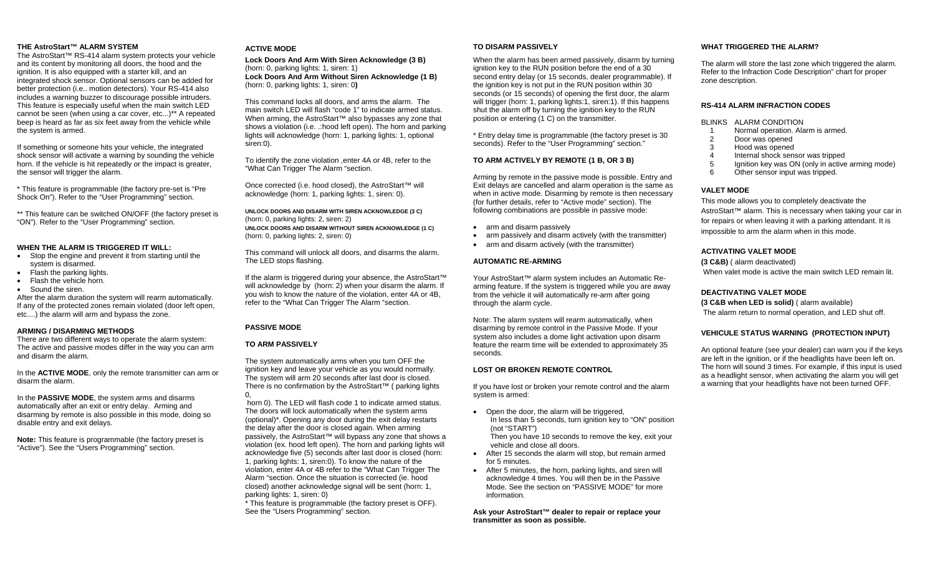## **THE AstroStart™ ALARM SYSTEM**

 The AstroStart™ RS-414 alarm system protects your vehicle and its content by monitoring all doors, the hood and the ignition. It is also equipped with a starter kill, and an integrated shock sensor. Optional sensors can be added for better protection (i.e.. motion detectors). Your RS-414 also includes a warning buzzer to discourage possible intruders. This feature is especially useful when the main switch LED cannot be seen (when using a car cover, etc...)\*\* A repeated beep is heard as far as six feet away from the vehicle while the system is armed.

If something or someone hits your vehicle, the integrated shock sensor will activate a warning by sounding the vehicle horn. If the vehicle is hit repeatedly or the impact is greater, the sensor will trigger the alarm.

\* This feature is programmable (the factory pre-set is "Pre Shock On"). Refer to the "User Programming" section.

\*\* This feature can be switched ON/OFF (the factory preset is "ON"). Refer to the "User Programming" section.

## **WHEN THE ALARM IS TRIGGERED IT WILL:**

- Stop the engine and prevent it from starting until the system is disarmed.
- Flash the parking lights.
- Flash the vehicle horn.
- Sound the siren.

 After the alarm duration the system will rearm automatically. If any of the protected zones remain violated (door left open, etc....) the alarm will arm and bypass the zone.

## **ARMING / DISARMING METHODS**

 There are two different ways to operate the alarm system: The active and passive modes differ in the way you can arm and disarm the alarm.

In the **ACTIVE MODE**, only the remote transmitter can arm or disarm the alarm.

In the **PASSIVE MODE**, the system arms and disarms automatically after an exit or entry delay. Arming and disarming by remote is also possible in this mode, doing so disable entry and exit delays.

**Note:** This feature is programmable (the factory preset is "Active"). See the "Users Programming" section.

## **ACTIVE MODE**

**Lock Doors And Arm With Siren Acknowledge (3 B)**  (horn: 0, parking lights: 1, siren: 1) **Lock Doors And Arm Without Siren Acknowledge (1 B)**  (horn: 0, parking lights: 1, siren: 0**)** 

This command locks all doors, and arms the alarm. The main switch LED will flash "code 1" to indicate armed status. When arming, the AstroStart™ also bypasses any zone that shows a violation (i.e. .:hood left open). The horn and parking lights will acknowledge (horn: 1, parking lights: 1, optional siren:0).

To identify the zone violation ,enter 4A or 4B, refer to the "What Can Trigger The Alarm "section.

Once corrected (i.e. hood closed), the AstroStart™ will acknowledge (horn: 1, parking lights: 1, siren: 0).

**UNLOCK DOORS AND DISARM WITH SIREN ACKNOWLEDGE (3 C)**  (horn: 0, parking lights: 2, siren: 2) **UNLOCK DOORS AND DISARM WITHOUT SIREN ACKNOWLEDGE (1 C)**  (horn: 0, parking lights: 2, siren: 0)

This command will unlock all doors, and disarms the alarm. The LED stops flashing.

If the alarm is triggered during your absence, the AstroStart™ will acknowledge by (horn: 2) when your disarm the alarm. If you wish to know the nature of the violation, enter 4A or 4B, refer to the "What Can Trigger The Alarm "section.

## **PASSIVE MODE**

## **TO ARM PASSIVELY**

The system automatically arms when you turn OFF the ignition key and leave your vehicle as you would normally. The system will arm 20 seconds after last door is closed. There is no confirmation by the AstroStart™ ( parking lights 0,

 horn 0). The LED will flash code 1 to indicate armed status. The doors will lock automatically when the system arms (optional)\*. Opening any door during the exit delay restarts the delay after the door is closed again. When arming passively, the AstroStart™ will bypass any zone that shows a violation (ex. hood left open). The horn and parking lights will acknowledge five (5) seconds after last door is closed (horn: 1, parking lights: 1, siren:0). To know the nature of the violation, enter 4A or 4B refer to the "What Can Trigger The Alarm "section. Once the situation is corrected (ie. hood closed) another acknowledge signal will be sent (horn: 1, parking lights: 1, siren: 0)

\* This feature is programmable (the factory preset is OFF). See the "Users Programming" section.

## **TO DISARM PASSIVELY**

When the alarm has been armed passively, disarm by turning ignition key to the RUN position before the end of a 30 second entry delay (or 15 seconds, dealer programmable). If the ignition key is not put in the RUN position within 30 seconds (or 15 seconds) of opening the first door, the alarm will trigger (horn: 1, parking lights: 1, siren: 1). If this happens shut the alarm off by turning the ignition key to the RUN position or entering (1 C) on the transmitter.

\* Entry delay time is programmable (the factory preset is 30 seconds). Refer to the "User Programming" section."

# **TO ARM ACTIVELY BY REMOTE (1 B, OR 3 B)**

Arming by remote in the passive mode is possible. Entry and Exit delays are cancelled and alarm operation is the same as when in active mode. Disarming by remote is then necessary (for further details, refer to "Active mode" section). The following combinations are possible in passive mode:

- arm and disarm passively
- arm passively and disarm actively (with the transmitter)
- arm and disarm actively (with the transmitter)

# **AUTOMATIC RE-ARMING**

Your AstroStart™ alarm system includes an Automatic Rearming feature. If the system is triggered while you are away from the vehicle it will automatically re-arm after going through the alarm cycle.

Note: The alarm system will rearm automatically, when disarming by remote control in the Passive Mode. If your system also includes a dome light activation upon disarm feature the rearm time will be extended to approximately 35 seconds.

## **LOST OR BROKEN REMOTE CONTROL**

If you have lost or broken your remote control and the alarm system is armed:

- Open the door, the alarm will be triggered, In less than 5 seconds, turn ignition key to "ON" position (not "START") Then you have 10 seconds to remove the key, exit your
- vehicle and close all doors.
- After 15 seconds the alarm will stop, but remain armed for 5 minutes.
- After 5 minutes, the horn, parking lights, and siren will acknowledge 4 times. You will then be in the Passive Mode. See the section on "PASSIVE MODE" for more information.

**Ask your AstroStart™ dealer to repair or replace your transmitter as soon as possible.** 

## **WHAT TRIGGERED THE ALARM?**

The alarm will store the last zone which triggered the alarm. Refer to the Infraction Code Description" chart for proper zone description.

## **RS-414 ALARM INFRACTION CODES**

## BLINKS ALARM CONDITION

- 1 Normal operation. Alarm is armed.<br>2 Door was opened
- 2 Door was opened<br>3 Hood was opened
- 3 Hood was opened<br>4 Internal shock seni
- 4 Internal shock sensor was tripped<br>5 Inpition key was ON (only in active
- 5 Ignition key was ON (only in active arming mode)<br>6 Other sensor input was tripped
- Other sensor input was tripped.

# **VALET MODE**

This mode allows you to completely deactivate the AstroStart™ alarm. This is necessary when taking your car in for repairs or when leaving it with a parking attendant. It is impossible to arm the alarm when in this mode.

# **ACTIVATING VALET MODE**

**(3 C&B)** ( alarm deactivated) When valet mode is active the main switch LED remain lit.

# **DEACTIVATING VALET MODE**

**(3 C&B when LED is solid)** ( alarm available) The alarm return to normal operation, and LED shut off.

# **VEHICULE STATUS WARNING (PROTECTION INPUT)**

An optional feature (see your dealer) can warn you if the keys are left in the ignition, or if the headlights have been left on. The horn will sound 3 times. For example, if this input is used as a headlight sensor, when activating the alarm you will get a warning that your headlights have not been turned OFF.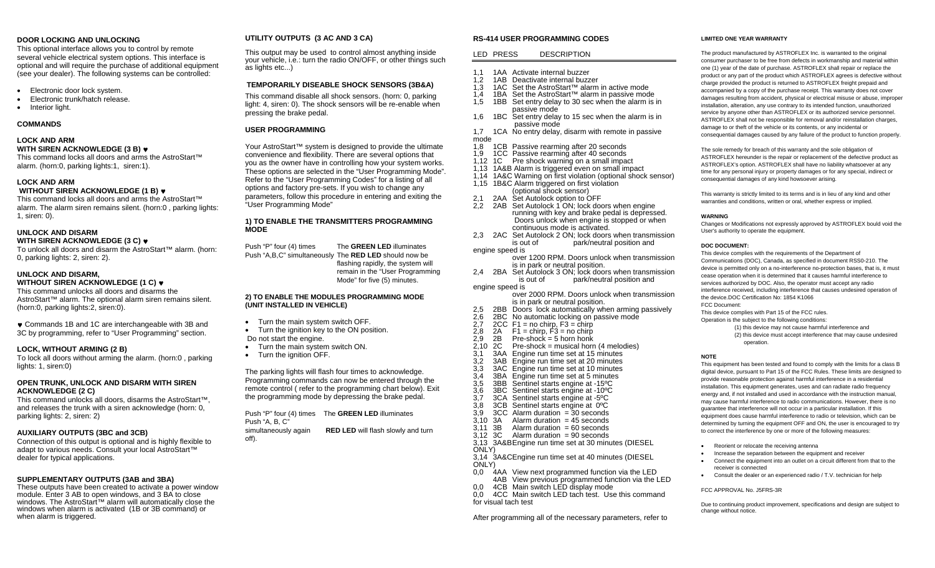## **DOOR LOCKING AND UNLOCKING**

This optional interface allows you to control by remote several vehicle electrical system options. This interface is optional and will require the purchase of additional equipment (see your dealer). The following systems can be controlled:

- Electronic door lock system.
- Electronic trunk/hatch release.
- Interior light.

## **COMMANDS**

## **LOCK AND ARM WITH SIREN ACKNOWLEDGE (3 B)** ♥

This command locks all doors and arms the AstroStart™ alarm. (horn:0, parking lights:1, siren:1).

# **LOCK AND ARM**

# **WITHOUT SIREN ACKNOWLEDGE (1 B)** ♥

This command locks all doors and arms the AstroStart™ alarm. The alarm siren remains silent. (horn:0 , parking lights: 1, siren: 0).

# **UNLOCK AND DISARM**

## **WITH SIREN ACKNOWLEDGE (3 C)** ♥

To unlock all doors and disarm the AstroStart™ alarm. (horn: 0, parking lights: 2, siren: 2).

# **UNLOCK AND DISARM,**

# **WITHOUT SIREN ACKNOWLEDGE (1 C)** ♥

This command unlocks all doors and disarms the AstroStart™ alarm. The optional alarm siren remains silent. (horn:0, parking lights:2, siren:0).

♥ Commands 1B and 1C are interchangeable with 3B and 3C by programming, refer to "User Programming" section.

## **LOCK, WITHOUT ARMING (2 B)**

To lock all doors without arming the alarm. (horn:0 , parking lights: 1, siren:0)

## **OPEN TRUNK, UNLOCK AND DISARM WITH SIREN ACKNOWLEDGE (2 C)**

This command unlocks all doors, disarms the AstroStart™, and releases the trunk with a siren acknowledge (horn: 0, parking lights: 2, siren: 2)

## **AUXILIARY OUTPUTS (3BC and 3CB)**

Connection of this output is optional and is highly flexible to adapt to various needs. Consult your local AstroStart™ dealer for typical applications.

## **SUPPLEMENTARY OUTPUTS (3AB and 3BA)**

These outputs have been created to activate a power window module. Enter 3 AB to open windows, and 3 BA to close windows. The AstroStart<sup>™</sup> alarm will automatically close the windows when alarm is activated (1B or 3B command) or when alarm is triggered.

# **UTILITY OUTPUTS (3 AC AND 3 CA)**

This output may be used to control almost anything inside your vehicle, i.e.: turn the radio ON/OFF, or other things such as lights etc...)

# **TEMPORARILY DISEABLE SHOCK SENSORS (3B&A)**

This command disable all shock sensors. (horn: 0, parking light: 4, siren: 0). The shock sensors will be re-enable when pressing the brake pedal.

# **USER PROGRAMMING**

Your AstroStart™ system is designed to provide the ultimate convenience and flexibility. There are several options that you as the owner have in controlling how your system works. These options are selected in the "User Programming Mode". Refer to the "User Programming Codes" for a listing of all options and factory pre-sets. If you wish to change any parameters, follow this procedure in entering and exiting the "User Programming Mode"

## **1) TO ENABLE THE TRANSMITTERS PROGRAMMING MODE**

Push "P" four (4) times The **GREEN LED** illuminates Push "A,B,C" simultaneously The **RED LED** should now be flashing rapidly, the system will remain in the "User Programming Mode" for five (5) minutes.

## **2) TO ENABLE THE MODULES PROGRAMMING MODE (UNIT INSTALLED IN VEHICLE)**

- Turn the main system switch OFF.
- Turn the ignition key to the ON position.
- Do not start the engine.
- Turn the main system switch ON.
- Turn the ignition OFF.

The parking lights will flash four times to acknowledge. Programming commands can now be entered through the remote control ( refer to the programming chart below). Exit the programming mode by depressing the brake pedal.

Push "P" four (4) times The **GREEN LED** illuminates Push "A, B, C" simultaneously again **RED LED** will flash slowly and turn

off).

## **RS-414 USER PROGRAMMING CODES**

## LED PRESS DESCRIPTION

- 1,1 1AA Activate internal buzzer<br>1.2 1AB Deactivate internal buzz
- 1,2 1AB Deactivate internal buzzer<br>1.3 1AC Set the AstroStart™ alarm
- 1AC Set the AstroStart™ alarm in active mode<br>1BA Set the AstroStart™ alarm in passive mod
- 1,4 1BA Set the AstroStart<sup>™</sup> alarm in passive mode<br>1.5 1BB Set entry delay to 30 sec when the alarm is
- 1BB Set entry delay to 30 sec when the alarm is in passive mode
- 1,6 1BC Set entry delay to 15 sec when the alarm is in passive mode
- 1,7 1CA No entry delay, disarm with remote in passive mode
- 1,8 1CB Passive rearming after 20 seconds
- 1,9 1CC Passive rearming after 40 seconds
- 1,12 1C Pre shock warning on a small impact
- 1,13 1A&B Alarm is triggered even on small impact
- 1,14 1A&C Warning on first violation (optional shock sensor)
- 1,15 1B&C Alarm triggered on first violation
- (optional shock sensor)<br>2,1 2AA Set Autolock option to O<br>2.2 2AB Set Autolock 1 ON: lock
- Set Autolock option to OFF
- 2.4B Set Autolock 1 ON; lock doors when engine running with key and brake pedal is depressed. Doors unlock when engine is stopped or when continuous mode is activated.
- 2,3 2AC Set Autolock 2 ON; lock doors when transmission is out of park/neutral position and engine speed is
- over 1200 RPM. Doors unlock when transmission is in park or neutral position.
- 2,4 2BA Set Autolock 3 ON; lock doors when transmission is out of park/neutral position and engine speed is
	- over 2000 RPM. Doors unlock when transmission
- is in park or neutral position.<br>2.5 2BB Doors lock automatically wh
- 2,5 2BB Doors lock automatically when arming passively 2,6 2BC No automatic locking on passive mode<br>2,7 2CC F1 = no chirp, F3 = chirp<br>2.8 2A F1 = chirp, F3 = no chirp
- 2CC F1 = no chirp, F3 =  $\text{chirp}$
- 
- $2,8$  2A F1 = chirp,  $\overline{F3}$  = no chirp<br>2.9 2B Pre-shock = 5 horn honk
- 2,9 2B Pre-shock = 5 horn honk<br>2,10 2C Pre-shock = musical horr 2,10 2C Pre-shock = musical horn (4 melodies)
- 
- 3,1 3AA Engine run time set at 15 minutes 3,2 3AB Engine run time set at 20 minutes
- 3,3 3AC Engine run time set at 10 minutes<br>3.4 3BA Engine run time set at 5 minutes
- 3,4 3BA Engine run time set at 5 minutes
- 3,5 3BB Sentinel starts engine at -15ºC
- 3,6 3BC Sentinel starts engine at -10ºC
- 3,7 3CA Sentinel starts engine at -5ºC
- $3,8$  3CB Sentinel starts engine at 0°C<br>3.9 3CC Alarm duration = 30 seconds
- $3CC$  Alarm duration =  $30$  seconds
- $3,10$  3A Alarm duration = 45 seconds<br> $3.11$  3B Alarm duration = 60 seconds
- $3,11$  3B Alarm duration = 60 seconds<br> $3.12$  3C Alarm duration = 90 seconds
- Alarm duration  $= 90$  seconds
- 3.13 3A&B Engine run time set at 30 minutes (DIESEL ONLY)
- 3,14 3A&CEngine run time set at 40 minutes (DIESEL ONLY)
- 0,0 4AA View next programmed function via the LED 4AB View previous programmed function via the LED
- 4CB Main switch LED display mode
- 0.0 4CC Main switch LED tach test. Use this command for visual tach test

#### **LIMITED ONE YEAR WARRANTY**

The product manufactured by ASTROFLEX Inc. is warranted to the original consumer purchaser to be free from defects in workmanship and material within one (1) year of the date of purchase. ASTROFLEX shall repair or replace the product or any part of the product which ASTROFLEX agrees is defective without charge provided the product is returned to ASTROFLEX freight prepaid and accompanied by a copy of the purchase receipt. This warranty does not cover damages resulting from accident, physical or electrical misuse or abuse, improper installation, alteration, any use contrary to its intended function, unauthorized service by anyone other than ASTROFLEX or its authorized service personnel. ASTROFLEX shall not be responsible for removal and/or reinstallation charges, damage to or theft of the vehicle or its contents, or any incidental or consequential damages caused by any failure of the product to function properly.

The sole remedy for breach of this warranty and the sole obligation of ASTROFLEX hereunder is the repair or replacement of the defective product as ASTROFLEX's option. ASTROFLEX shall have no liability whatsoever at any time for any personal injury or property damages or for any special, indirect or consequential damages of any kind howsoever arising.

This warranty is strictly limited to its terms and is in lieu of any kind and other warranties and conditions, written or oral, whether express or implied.

#### **WARNING**

**NOTE**

 Changes or Modifications not expressly approved by ASTROFLEX bould void the User's authority to operate the equipment.

#### **DOC DOCUMENT:**

This device complies with the requirements of the Department of Communications (DOC), Canada, as specified in document RSS0-210. The device is permitted only on a no-interference no-protection bases, that is, it must cease operation when it is determined that it causes harmful interference to services authorized by DOC. Also, the operator must accept any radio interference received, including interference that causes undesired operation of

> (1) this device may not cause harmful interference and (2) this device must accept interference that may cause undesired

This equipment has been tested and found to comply with the limits for a class B digital device, pursuant to Part 15 of the FCC Rules. These limits are designed to provide reasonable protection against harmful interference in a residential installation. This equipment generates, uses and can radiate radio frequency energy and, if not installed and used in accordance with the instruction manual, may cause harmful interference to radio communications. However, there is no guarantee that interference will not occur in a particular installation. If this equipment does cause harmful interference to radio or television, which can be determined by turning the equipment OFF and ON, the user is encouraged to try to correct the interference by one or more of the following measures:

the device.DOC Certification No: 1854 K1066 FCC Document:

This device complies with Part 15 of the FCC rules.

operation.

• Reorient or relocate the receiving antenna

receiver is connected

FCC APPROVAL No. J5FRS-3R

change without notice.

• Increase the separation between the equipment and receiver • Connect the equipment into an outlet on a circuit different from that to the

• Consult the dealer or an experienced radio / T.V. technician for help

Due to continuing product improvement, specifications and design are subject to

Operation is the subject to the following conditions: